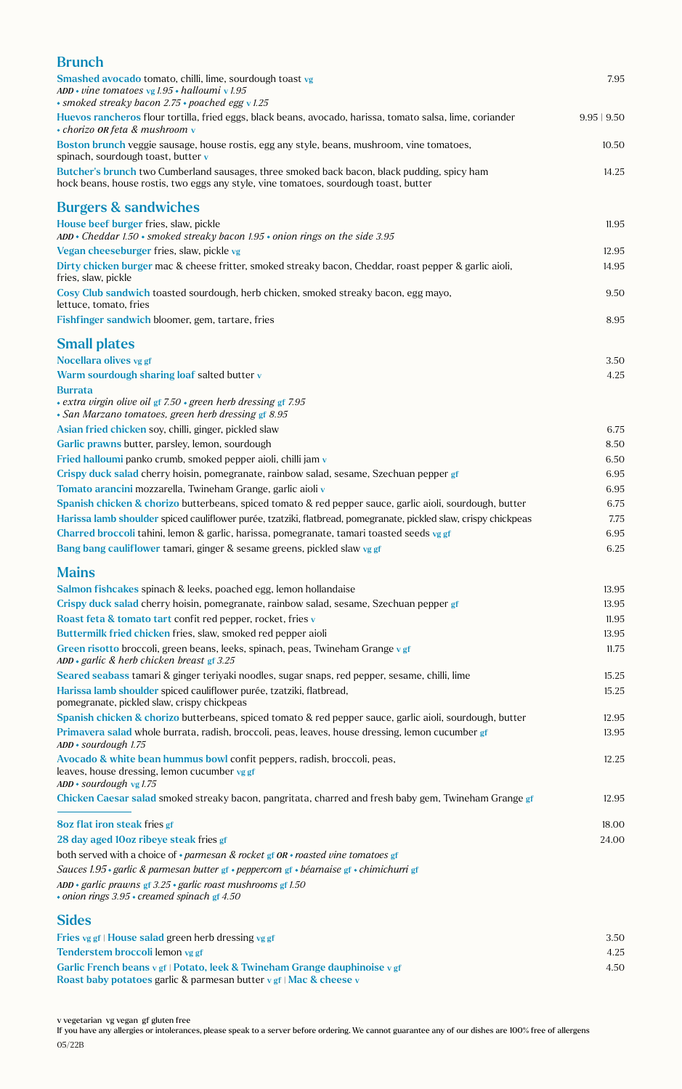| <b>Brunch</b>                                                                                                                                                                       |             |
|-------------------------------------------------------------------------------------------------------------------------------------------------------------------------------------|-------------|
| Smashed avocado tomato, chilli, lime, sourdough toast vg                                                                                                                            | 7.95        |
| ADD • vine tomatoes vg $1.95$ • halloumi v $1.95$<br>· smoked streaky bacon 2.75 · poached egg v 1.25                                                                               |             |
| Huevos rancheros flour tortilla, fried eggs, black beans, avocado, harissa, tomato salsa, lime, coriander<br>• chorizo OR feta & mushroom v                                         | 9.95   9.50 |
| Boston brunch veggie sausage, house rostis, egg any style, beans, mushroom, vine tomatoes,<br>spinach, sourdough toast, butter $\bf{v}$                                             | 10.50       |
| Butcher's brunch two Cumberland sausages, three smoked back bacon, black pudding, spicy ham<br>hock beans, house rostis, two eggs any style, vine tomatoes, sourdough toast, butter | 14.25       |
| <b>Burgers &amp; sandwiches</b>                                                                                                                                                     |             |
| House beef burger fries, slaw, pickle<br>$ADD * Cheddar 1.50 * smoked\ strength\textit{bacon}\ 1.95 * onion\ rings\ on\ the\ side\ 3.95$                                            | 11.95       |
| Vegan cheeseburger fries, slaw, pickle vg                                                                                                                                           | 12.95       |
| Dirty chicken burger mac & cheese fritter, smoked streaky bacon, Cheddar, roast pepper & garlic aioli,<br>fries, slaw, pickle                                                       | 14.95       |
| Cosy Club sandwich toasted sourdough, herb chicken, smoked streaky bacon, egg mayo,<br>lettuce, tomato, fries                                                                       | 9.50        |
| Fishfinger sandwich bloomer, gem, tartare, fries                                                                                                                                    | 8.95        |
| <b>Small plates</b>                                                                                                                                                                 |             |
| Nocellara olives vg gf                                                                                                                                                              | 3.50        |
| Warm sourdough sharing loaf salted butter v                                                                                                                                         | 4.25        |
| <b>Burrata</b><br>• extra virgin olive oil gf 7.50 • green herb dressing gf 7.95<br>• San Marzano tomatoes, green herb dressing gf 8.95                                             |             |
| Asian fried chicken soy, chilli, ginger, pickled slaw                                                                                                                               | 6.75        |
| Garlic prawns butter, parsley, lemon, sourdough                                                                                                                                     | 8.50        |
| Fried halloumi panko crumb, smoked pepper aioli, chilli jam v                                                                                                                       | 6.50        |
| Crispy duck salad cherry hoisin, pomegranate, rainbow salad, sesame, Szechuan pepper gf                                                                                             | 6.95        |
| Tomato arancini mozzarella, Twineham Grange, garlic aioli v                                                                                                                         | 6.95        |
| Spanish chicken & chorizo butterbeans, spiced tomato & red pepper sauce, garlic aioli, sourdough, butter                                                                            | 6.75        |
| Harissa lamb shoulder spiced cauliflower purée, tzatziki, flatbread, pomegranate, pickled slaw, crispy chickpeas                                                                    | 7.75        |
| Charred broccoli tahini, lemon & garlic, harissa, pomegranate, tamari toasted seeds vg gf                                                                                           | 6.95        |
| Bang bang cauliflower tamari, ginger & sesame greens, pickled slaw vg gf                                                                                                            | 6.25        |
| <b>Mains</b>                                                                                                                                                                        |             |
| Salmon fishcakes spinach & leeks, poached egg, lemon hollandaise                                                                                                                    | 13.95       |
| Crispy duck salad cherry hoisin, pomegranate, rainbow salad, sesame, Szechuan pepper gf                                                                                             | 13.95       |
| Roast feta & tomato tart confit red pepper, rocket, fries v                                                                                                                         | 11.95       |
| Buttermilk fried chicken fries, slaw, smoked red pepper aioli                                                                                                                       | 13.95       |
| Green risotto broccoli, green beans, leeks, spinach, peas, Twineham Grange v gf<br>ADD · garlic & herb chicken breast gf 3.25                                                       | 11.75       |
| Seared seabass tamari & ginger teriyaki noodles, sugar snaps, red pepper, sesame, chilli, lime                                                                                      | 15.25       |
| Harissa lamb shoulder spiced cauliflower purée, tzatziki, flatbread,<br>pomegranate, pickled slaw, crispy chickpeas                                                                 | 15.25       |
| Spanish chicken & chorizo butterbeans, spiced tomato & red pepper sauce, garlic aioli, sourdough, butter                                                                            | 12.95       |
| Primavera salad whole burrata, radish, broccoli, peas, leaves, house dressing, lemon cucumber gf<br>ADD · sourdough 1.75                                                            | 13.95       |
| Avocado & white bean hummus bowl confit peppers, radish, broccoli, peas,<br>leaves, house dressing, lemon cucumber vg gf<br>$ADD * soundough$ vg 1.75                               | 12.25       |
| Chicken Caesar salad smoked streaky bacon, pangritata, charred and fresh baby gem, Twineham Grange gf                                                                               | 12.95       |
| <b>8oz flat iron steak fries gf</b>                                                                                                                                                 | 18.00       |
| 28 day aged 10oz ribeye steak fries gf                                                                                                                                              | 24.00       |
| both served with a choice of $\cdot$ parmesan & rocket gf OR $\cdot$ roasted vine tomatoes gf                                                                                       |             |
| Sauces 1.95 · garlic & parmesan butter gf · peppercorn gf · béarnaise gf · chimichurri gf                                                                                           |             |
| ADD • garlic prawns gf $3.25$ • garlic roast mushrooms gf 1.50<br>$\cdot$ onion rings 3.95 $\cdot$ creamed spinach gf 4.50                                                          |             |
| <b>Sides</b>                                                                                                                                                                        |             |
| Fries vg gf   House salad green herb dressing vg gf                                                                                                                                 | 3.50        |
| Tenderstem broccoli lemon vg gf                                                                                                                                                     | 4.25        |
| Garlic French beans v gf   Potato, leek & Twineham Grange dauphinoise v gf                                                                                                          | 4.50        |

Roast baby potatoes garlic & parmesan butter v gf | Mac & cheese v

If you have any allergies or intolerances, please speak to a server before ordering. We cannot guarantee any of our dishes are 100% free of allergens 05/22B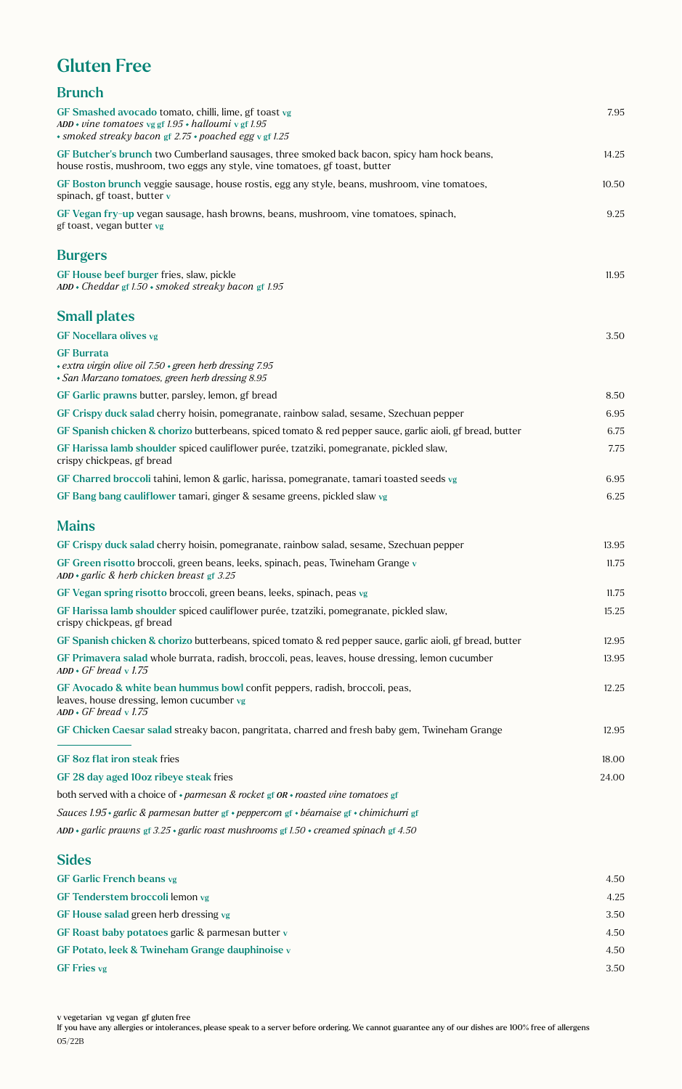## Gluten Free

| <b>Brunch</b>                                                                                                                                                              |       |
|----------------------------------------------------------------------------------------------------------------------------------------------------------------------------|-------|
| GF Smashed avocado tomato, chilli, lime, gf toast vg<br>ADD • vine tomatoes vg gf 1.95 • halloumi v gf 1.95<br>· smoked streaky bacon gf 2.75 · poached egg v gf 1.25      | 7.95  |
| GF Butcher's brunch two Cumberland sausages, three smoked back bacon, spicy ham hock beans,<br>house rostis, mushroom, two eggs any style, vine tomatoes, gf toast, butter | 14.25 |
| GF Boston brunch veggie sausage, house rostis, egg any style, beans, mushroom, vine tomatoes,<br>spinach, gf toast, butter v                                               | 10.50 |
| GF Vegan fry-up vegan sausage, hash browns, beans, mushroom, vine tomatoes, spinach,<br>gf toast, vegan butter vg                                                          | 9.25  |
| <b>Burgers</b>                                                                                                                                                             |       |
| GF House beef burger fries, slaw, pickle<br>$ADD * Cheddar$ gf 1.50 $*$ smoked streaky bacon gf 1.95                                                                       | 11.95 |
| <b>Small plates</b>                                                                                                                                                        |       |
| <b>GF Nocellara olives vg</b>                                                                                                                                              | 3.50  |
| <b>GF Burrata</b><br>· extra virgin olive oil 7.50 · green herb dressing 7.95<br>· San Marzano tomatoes, green herb dressing 8.95                                          |       |
| GF Garlic prawns butter, parsley, lemon, gf bread                                                                                                                          | 8.50  |
| GF Crispy duck salad cherry hoisin, pomegranate, rainbow salad, sesame, Szechuan pepper                                                                                    | 6.95  |
| GF Spanish chicken & chorizo butterbeans, spiced tomato & red pepper sauce, garlic aioli, gf bread, butter                                                                 | 6.75  |
| GF Harissa lamb shoulder spiced cauliflower purée, tzatziki, pomegranate, pickled slaw,<br>crispy chickpeas, gf bread                                                      | 7.75  |
| GF Charred broccoli tahini, lemon & garlic, harissa, pomegranate, tamari toasted seeds vg                                                                                  | 6.95  |
| GF Bang bang cauliflower tamari, ginger & sesame greens, pickled slaw vg                                                                                                   | 6.25  |
| <b>Mains</b>                                                                                                                                                               |       |
| GF Crispy duck salad cherry hoisin, pomegranate, rainbow salad, sesame, Szechuan pepper                                                                                    | 13.95 |
| GF Green risotto broccoli, green beans, leeks, spinach, peas, Twineham Grange v<br>ADD · garlic & herb chicken breast gf 3.25                                              | 11.75 |
| GF Vegan spring risotto broccoli, green beans, leeks, spinach, peas vg                                                                                                     | 11.75 |
| GF Harissa lamb shoulder spiced cauliflower purée, tzatziki, pomegranate, pickled slaw,<br>crispy chickpeas, gf bread                                                      | 15.25 |
| GF Spanish chicken & chorizo butterbeans, spiced tomato & red pepper sauce, garlic aioli, gf bread, butter                                                                 | 12.95 |
| GF Primavera salad whole burrata, radish, broccoli, peas, leaves, house dressing, lemon cucumber<br>$ADD \cdot GF$ bread v 1.75                                            | 13.95 |
| GF Avocado & white bean hummus bowl confit peppers, radish, broccoli, peas,<br>leaves, house dressing, lemon cucumber vg<br>$ADD \cdot GF$ bread v 1.75                    | 12.25 |
| GF Chicken Caesar salad streaky bacon, pangritata, charred and fresh baby gem, Twineham Grange                                                                             | 12.95 |
| <b>GF 8oz flat iron steak fries</b>                                                                                                                                        | 18.00 |
| GF 28 day aged 10oz ribeye steak fries                                                                                                                                     | 24.00 |
| both served with a choice of $\cdot$ parmesan & rocket gf OR $\cdot$ roasted vine tomatoes gf                                                                              |       |
| Sauces 1.95 • garlic & parmesan butter gf • peppercorn gf • béarnaise gf • chimichurri gf                                                                                  |       |
| ADD • garlic prawns gf 3.25 • garlic roast mushrooms gf 1.50 • creamed spinach gf 4.50                                                                                     |       |
|                                                                                                                                                                            |       |

#### Sides

| 4.50 |
|------|
| 4.25 |
| 3.50 |
| 4.50 |
| 4.50 |
| 3.50 |
|      |

If you have any allergies or intolerances, please speak to a server before ordering. We cannot guarantee any of our dishes are 100% free of allergens 05/22B